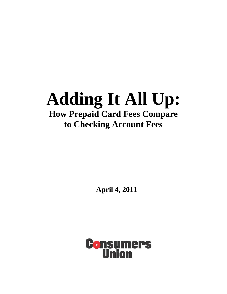# **Adding It All Up: How Prepaid Card Fees Compare to Checking Account Fees**

**April 4, 2011** 

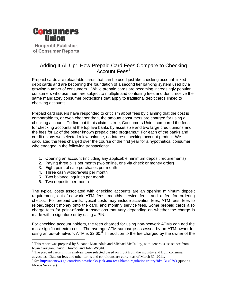

## Adding It All Up: How Prepaid Card Fees Compare to Checking Account Fees<sup>1</sup>

Prepaid cards are reloadable cards that can be used just like checking account-linked debit cards and are becoming the foundation of a second tier banking system used by a growing number of consumers. While prepaid cards are becoming increasingly popular, consumers who use them are subject to multiple and confusing fees and don't receive the same mandatory consumer protections that apply to traditional debit cards linked to checking accounts.

Prepaid card issuers have responded to criticism about fees by claiming that the cost is comparable to, or even cheaper than, the amount consumers are charged for using a checking account. To find out if this claim is true, Consumers Union compared the fees for checking accounts at the top five banks by asset size and two large credit unions and the fees for 12 of the better known prepaid card programs.<sup>2</sup> For each of the banks and credit unions we selected a low balance, no-interest checking account product. We calculated the fees charged over the course of the first year for a hypothetical consumer who engaged in the following transactions:

- 1. Opening an account (including any applicable minimum deposit requirements)
- 2. Paying three bills per month (two online, one via check or money order)
- 3. Eight point of sale purchases per month
- 4. Three cash withdrawals per month
- 5. Two balance inquiries per month
- 6. Two deposits per month

 $\overline{a}$ 

The typical costs associated with checking accounts are an opening minimum deposit requirement, out-of-network ATM fees, monthly service fees, and a fee for ordering checks. For prepaid cards, typical costs may include activation fees, ATM fees, fees to reload/deposit money onto the card, and monthly service fees. Some prepaid cards also charge fees for point-of-sale transactions that vary depending on whether the charge is made with a signature or by using a PIN.

For checking account holders, the fees charged for using non-network ATMs can add the most significant extra cost. The average ATM surcharge assessed by an ATM owner for using an out-of-network ATM is  $$2.60<sup>3</sup>$  In addition to the fee charged by the owner of the

<sup>&</sup>lt;sup>1</sup> This report was prepared by Suzanne Martindale and Michael McCauley, with generous assistance from Ryan Carrigan, David Chircop, and John Wright.

 $2^{2}$  The prepaid cards in this analysis were selected based on input from the industry and from consumer advocates. Data on fees and other terms and conditions are current as of March 31, 2011.

<sup>&</sup>lt;sup>3</sup> See http://abcnews.go.com/Business/banks-jack-atm-fees-blame-regulations/story?id=13149793 (quoting Moebs Services).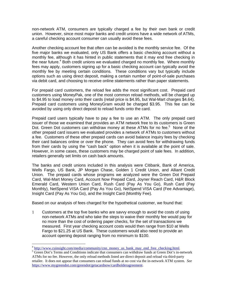non-network ATM, consumers are typically charged a fee by their own bank or credit union. However, since most major banks and credit unions have a wide network of ATMs, a careful checking account consumer can usually avoid these fees.

Another checking account fee that often can be avoided is the monthly service fee. Of the five major banks we evaluated, only US Bank offers a basic checking account without a monthly fee, although it has hinted in public statements that it may end free checking in the near future.<sup>4</sup> Both credit unions we evaluated charged no monthly fee. Where monthly fees may apply, customers signing up for a basic checking account can typically avoid the monthly fee by meeting certain conditions. These conditions vary but typically include options such as using direct deposit, making a certain number of point-of-sale purchases via debit card, and choosing to receive online statements rather than paper statements.

For prepaid card customers, the reload fee adds the most significant cost. Prepaid card customers using MoneyPak, one of the most common reload methods, will be charged up to \$4.95 to load money onto their cards (retail price is \$4.95, but Wal-Mart charges \$4.64). Prepaid card customers using MoneyGram would be charged \$3.95. This fee can be avoided by using only direct deposit to reload funds onto the card.

Prepaid card users typically have to pay a fee to use an ATM. The only prepaid card issuer of those we examined that provides an ATM network free to its customers is Green Dot. Green Dot customers can withdraw money at these ATMs for no fee.<sup>5</sup> None of the other prepaid card issuers we evaluated provides a network of ATMs to customers without a fee. Customers of these other prepaid cards can avoid balance inquiry fees by checking their card balances online or over the phone. They can avoid fees for withdrawing funds from their cards by using the "cash back" option when it is available at the point of sale. However, in some cases, these customers may be charged point of sale fees. In addition, retailers generally set limits on cash back amounts.

The banks and credit unions included in this analysis were Citibank, Bank of America, Wells Fargo, US Bank, JP Morgan Chase, Golden 1 Credit Union, and Alliant Credit Union. The prepaid cards whose programs we analyzed were the Green Dot Prepaid Card, Wal-Mart Money Card, Account Now Prepaid Card, Joyner Reach Card, H&R Block Emerald Card, Western Union Card, Rush Card (Pay As You Go), Rush Card (Pay Monthly), NetSpend VISA Card (Pay As You Go), NetSpend VISA Card (Fee Advantage), Insight Card (Pay As You Go), and the Insight Card (Monthly Fee).

Based on our analysis of fees charged for the hypothetical customer, we found that:

1 Customers at the top five banks who are savvy enough to avoid the costs of using non-network ATMs and who take the steps to waive their monthly fee would pay for no more than the cost of ordering paper checks, for the set of transactions we measured. First year checking account costs would then range from \$10 at Wells Fargo to \$21.25 at US Bank. These customers would also need to provide an account opening deposit ranging from no minimum to \$100.

 $\overline{a}$ 

<sup>&</sup>lt;sup>4</sup> http://www.cuinsight.com/media/community/cnn\_money\_us\_bank\_may\_end\_free\_checking.html.

<sup>&</sup>lt;sup>5</sup> Green Dot's Terms and Conditions indicate that consumers can withdraw funds at Green Dot's in-network ATMs for no fee. However, the only reload methods listed are direct deposit and reload via third-party retailer. It does not appear that consumers can reload funds at no cost via the in-network ATM system. *See*  https://www.mygreendot.com/greendot/getacardnow/cardholderagreement.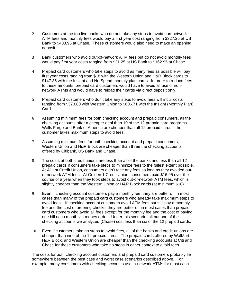- 2 Customers at the top five banks who do not take any steps to avoid non-network ATM fees and monthly fees would pay a first year cost ranging from \$327.25 at US Bank to \$438.95 at Chase. These customers would also need to make an opening deposit.
- 3 Bank customers who avoid out-of-network ATM fees but do not avoid monthly fees would pay first year costs ranging from \$21.25 at US Bank to \$162.95 at Chase.
- 4 Prepaid card customers who take steps to avoid as many fees as possible will pay first year costs ranging from \$18 with the Western Union and H&R Block cards to \$147.35 with the Insight and NetSpend monthly plan cards. In order to reduce fees to these amounts, prepaid card customers would have to avoid all use of nonnetwork ATMs and would have to reload their cards via direct deposit only.
- 5 Prepaid card customers who don't take any steps to avoid fees will incur costs ranging from \$373.80 with Western Union to \$606.71 with the Insight (Monthly Plan) Card.
- 6 Assuming minimum fees for both checking account and prepaid consumers, all the checking accounts offer a cheaper deal than 10 of the 12 prepaid card programs. Wells Fargo and Bank of America are cheaper than all 12 prepaid cards if the customer takes maximum steps to avoid fees.
- 7 Assuming minimum fees for both checking account and prepaid consumers, Western Union and H&R Block are cheaper than three the checking accounts offered by Citibank, US Bank and Chase.
- 8 The costs at both credit unions are less than all of the banks and less than all 12 prepaid cards if consumers take steps to minimize fees to the fullest extent possible. At Alliant Credit Union, consumers didn't face any fees so long as they avoided outof-network ATM fees. At Golden 1 Credit Union, consumers paid \$16.95 over the course of a year when they took steps to avoid out-of-network ATM fees, which is slightly cheaper than the Western Union or H&R Block cards (at minimum \$18).
- 9 Even if checking account customers pay a monthly fee, they are better off in most cases than many of the prepaid card customers who already take maximum steps to avoid fees. If checking account customers avoid ATM fees but still pay a monthly fee and the cost of ordering checks, they are better off in most cases than prepaid card customers who avoid all fees except for the monthly fee and the cost of paying one bill each month via money order. Under this scenario, all but one of the checking accounts we analyzed (Chase) cost less than six of the 12 prepaid cards.
- 10 Even if customers take no steps to avoid fees, all of the banks and credit unions are cheaper than nine of the 12 prepaid cards. The prepaid cards offered by WalMart, H&R Block, and Western Union are cheaper than the checking accounts at Citi and Chase for those customers who take no steps in either context to avoid fees.

The costs for both checking account customers and prepaid card customers probably lie somewhere between the best case and worst case scenarios described above. For example, many consumers with checking accounts use in-network ATMs for most cash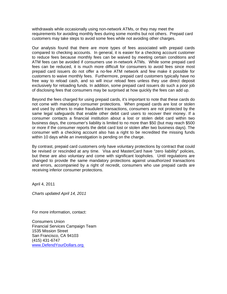withdrawals while occasionally using non-network ATMs, or they may meet the requirements for avoiding monthly fees during some months but not others. Prepaid card customers may take steps to avoid some fees while not avoiding other charges.

Our analysis found that there are more types of fees associated with prepaid cards compared to checking accounts. In general, it is easier for a checking account customer to reduce fees because monthly fees can be waived by meeting certain conditions and ATM fees can be avoided if consumers use in-network ATMs. While some prepaid card fees can be reduced, it is much more difficult for consumers to avoid fees since most prepaid card issuers do not offer a no-fee ATM network and few make it possible for customers to waive monthly fees. Furthermore, prepaid card customers typically have no free way to reload cash, and so will incur reload fees unless they use direct deposit exclusively for reloading funds. In addition, some prepaid card issuers do such a poor job of disclosing fees that consumers may be surprised at how quickly the fees can add up.

Beyond the fees charged for using prepaid cards, it's important to note that these cards do not come with mandatory consumer protections. When prepaid cards are lost or stolen and used by others to make fraudulent transactions, consumers are not protected by the same legal safeguards that enable other debit card users to recover their money. If a consumer contacts a financial institution about a lost or stolen debit card within two business days, the consumer's liability is limited to no more than \$50 (but may reach \$500 or more if the consumer reports the debit card lost or stolen after two business days). The consumer with a checking account also has a right to be recredited the missing funds within 10 days while an investigation is pending on the charge.

By contrast, prepaid card customers only have voluntary protections by contract that could be revised or rescinded at any time. Visa and MasterCard have "zero liability" policies, but these are also voluntary and come with significant loopholes. Until regulations are changed to provide the same mandatory protections against unauthorized transactions and errors, accompanied by a right of recredit, consumers who use prepaid cards are receiving inferior consumer protections.

April 4, 2011

*Charts updated April 14, 2011* 

For more information, contact:

Consumers Union Financial Services Campaign Team 1535 Mission Street San Francisco, CA 94103 (415) 431-6747 www.DefendYourDollars.org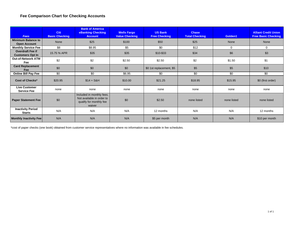### **Fee Comparison Chart for Checking Accounts**

| <b>Fees</b>                                        | Citi<br><b>Basic Checking</b> | <b>Bank of America</b><br>eBanking Checking<br><b>Account</b>                               | <b>Wells Fargo</b><br><b>Value Checking</b> | <b>US Bank</b><br><b>Free Checking</b> | <b>Chase</b><br><b>Total Checking</b> | Golden1     | <b>Alliant Credit Union</b><br><b>Free Basic Checking</b> |
|----------------------------------------------------|-------------------------------|---------------------------------------------------------------------------------------------|---------------------------------------------|----------------------------------------|---------------------------------------|-------------|-----------------------------------------------------------|
| <b>Minimum Balance to</b><br><b>Open Account</b>   | None                          | \$25                                                                                        | \$100                                       | \$50                                   | \$25                                  | None        | None                                                      |
| <b>Monthly Service Fee</b>                         | \$8                           | \$8.95                                                                                      | \$5                                         | \$0                                    | \$12                                  | $\mathbf 0$ | 0                                                         |
| <b>Overdraft Fee if</b><br><b>Customers Opt In</b> | 15.75 % APR                   | \$35                                                                                        | \$35                                        | \$10-\$33                              | \$34                                  | \$6         | \$3                                                       |
| <b>Out-of-Network ATM</b><br>Fee                   | \$2                           | \$2                                                                                         | \$2.50                                      | \$2.50                                 | \$2                                   | \$1.50      | \$1                                                       |
| <b>Card Replacement</b><br>Fee                     | \$0                           | \$0                                                                                         | \$0                                         | \$0 1st replacement, \$5               | \$5                                   | \$5         | \$10                                                      |
| <b>Online Bill Pay Fee</b>                         | \$0                           | \$0                                                                                         | \$6.95                                      | \$0                                    | \$0                                   | \$0         | \$0                                                       |
| Cost of Checks*                                    | \$20.95                       | $$14 + S&H$                                                                                 | \$10.00                                     | \$21.25                                | \$18.95                               | \$15.95     | \$0 (first order)                                         |
| <b>Live Customer</b><br><b>Service Fee</b>         | none                          | none                                                                                        | none                                        | none                                   | none                                  | none        | none                                                      |
| <b>Paper Statement Fee</b>                         | \$0                           | Included in monthly fees.<br>Not available in order to<br>qualify for monthly fee<br>waiver | \$0                                         | \$2.50                                 | none listed                           | none listed | none listed                                               |
| <b>Inactivity Period</b><br><b>Starts</b>          | N/A                           | N/A                                                                                         | N/A                                         | 12 months                              | N/A                                   | N/A         | 12 months                                                 |
| <b>Monthly Inactivity Fee</b>                      | N/A                           | N/A                                                                                         | N/A                                         | \$5 per month                          | N/A                                   | N/A         | \$10 per month                                            |

\*cost of paper checks (one book) obtained from customer service representatives where no information was available in fee schedules.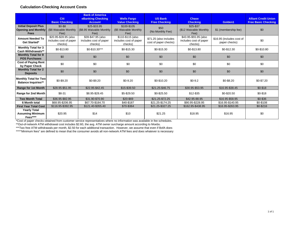#### **Calculation-Checking Account Costs**

|                                                                          | Citi<br><b>Basic Checking</b>                              | <b>Bank of America</b><br>eBanking Checking<br><b>Account</b> | <b>Wells Fargo</b><br><b>Value Checking</b>            | <b>US Bank</b><br><b>Free Checking</b>          | <b>Chase</b><br><b>Checking</b>                            | Golden1                                    | <b>Alliant Credit Union</b><br><b>Free Basic Checking</b> |
|--------------------------------------------------------------------------|------------------------------------------------------------|---------------------------------------------------------------|--------------------------------------------------------|-------------------------------------------------|------------------------------------------------------------|--------------------------------------------|-----------------------------------------------------------|
| <b>Initial Deposit Plus</b><br><b>Opening and Monthly</b><br><b>Fees</b> | \$0-\$8<br>(\$8 Waivable Monthly<br>Fee)                   | \$25-\$33.95<br>(\$8.95 Waivable Monthly<br>Fee)              | \$100-\$105<br>(\$5 Waivable Monthly)<br>Fee)          | \$50<br>(No Monthly Fee)                        | \$25-\$37<br>(\$12 Waivable Monthly<br>Fee)                | \$1 (membership fee)                       | \$0                                                       |
| <b>Amount Needed To</b><br><b>Get Started*</b>                           | \$20.95-\$28.95 (also<br>includes cost of paper<br>checks) | \$39-\$47.95 (also<br>includes cost of paper<br>checks)       | \$110-\$115 (also<br>includes cost of paper<br>checks) | \$71.25 (also includes<br>cost of paper checks) | \$43.95-\$55.95 (also<br>includes cost of paper<br>checks) | \$16.95 (includes cost of<br>paper checks) | \$0                                                       |
| <b>Monthly Total for 3</b><br><b>Cash Withdrawals**</b>                  | \$0-\$13.80                                                | \$0-\$10.30***                                                | \$0-\$15.30                                            | \$0-\$15.30                                     | \$0-\$13.80                                                | \$0-\$12.30                                | \$0-\$10.80                                               |
| <b>Monthly Total for 8</b><br><b>POS Purchases</b>                       | \$0                                                        | \$0                                                           | \$0                                                    | \$0                                             | \$0                                                        | \$0                                        | \$0                                                       |
| <b>Cost of Paying Rent</b><br>by Paper Check                             | \$0                                                        | \$0                                                           | \$0                                                    | \$0                                             | \$0                                                        | \$0                                        | \$0                                                       |
| <b>Monthly Total for 2</b><br><b>Deposits</b>                            | \$0                                                        | \$0                                                           | \$0                                                    | \$0                                             | \$0                                                        | \$0                                        | \$0                                                       |
| <b>Monthly Total for Two</b><br><b>Balance Inquiries**</b>               | \$0-\$9.20                                                 | $$0 - $9.20$                                                  | $$0-9.20$                                              | \$0-\$10.20                                     | $$0-9.2$                                                   | $$0 - $8.20$                               | $$0-$7.20$                                                |
| <b>Range for 1st Month</b>                                               | \$28.95-\$51.95                                            | \$22.95-\$42.45                                               | \$15-\$39.50                                           | \$21.25-\$46.75                                 | \$30.95-\$53.95                                            | \$16.95-\$38.45                            | $$0-$18$                                                  |
| Range for 2nd Month                                                      | $$8-31$                                                    | \$8.95-\$28.45                                                | \$5-\$29.50                                            | \$0-\$25.50                                     | \$12-\$35                                                  | \$0-\$20.50                                | $$0-$18$                                                  |
| <b>Two Month Total</b>                                                   | \$36.95-\$82.95                                            | \$31.90-\$70.90                                               | \$20-\$69                                              | \$21.25-\$72.25                                 | \$42.95-88.95                                              | \$16.95-\$58.95                            | \$0-\$36                                                  |
| 6 Month total                                                            | \$68.95-\$206.95                                           | \$67.70-\$184.70                                              | \$40-\$187                                             | \$21.25-\$174.25                                | \$90.95-\$228.95                                           | \$16.95-\$140.95                           | \$0-\$108                                                 |
| <b>First Year Total Cost</b>                                             | \$116.95-\$392.95                                          | \$121.40-\$355.40                                             | \$70-\$364                                             | \$21.25-\$327.25                                | \$162.95-\$438.95                                          | \$16.95-\$263.95                           | $$0 - $216$                                               |
| <b>Yearly Total</b><br><b>Assuming Minimum</b><br>Fees****               | \$20.95                                                    | \$14                                                          | \$10                                                   | \$21.25                                         | \$18.95                                                    | \$16.95                                    | \$0                                                       |

\*Cost of paper checks obtained from customer service representatives where no information was available in fee schedules.

\*\*Out-of-network ATM withdrawal cost includes \$2.60, the avg. ATM owner surcharge amount according to Moebs.

\*\*\*Two free ATM withdrawals per month, \$2.50 for each additional transaction. However, we assume that even if BofA does

\*\*\*\*"Minimum fees" are defined to mean that the consumer avoids all non-network ATM fees and does whatever is necessary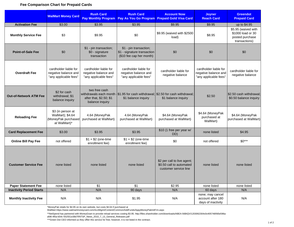#### **Fee Comparison Chart for Prepaid Cards**

|                                 | <b>WalMart Money Card</b>                                                    | <b>Rush Card</b><br><b>Pay Monthly Program</b>                         | <b>Rush Card</b>                                                                  | <b>Account Now</b><br>Pay As You Go Program Prepaid Gold Visa Card                                     | <b>Joyner</b><br><b>Reach Card</b>                                     | <b>Greendot</b><br><b>Prepaid Card</b>                                       |
|---------------------------------|------------------------------------------------------------------------------|------------------------------------------------------------------------|-----------------------------------------------------------------------------------|--------------------------------------------------------------------------------------------------------|------------------------------------------------------------------------|------------------------------------------------------------------------------|
| <b>Activation Fee</b>           | \$3.00                                                                       | \$3.95                                                                 | \$3.95                                                                            | \$9.95                                                                                                 | \$9.95                                                                 | up to \$4.95                                                                 |
| <b>Monthly Service Fee</b>      | \$3                                                                          | \$9.95                                                                 | \$0                                                                               | \$9.95 (waived with \$2500<br>load)                                                                    | \$8.95                                                                 | \$5.95 (waived with<br>\$1000 load or 30<br>posted purchase<br>transactions) |
| <b>Point-of-Sale Fee</b>        | \$0                                                                          | \$1 - pin transaction;<br>\$0 - signature<br>transaction               | \$1 - pin transaction;<br>\$1 - signature transaction<br>(\$10 fee cap her month) | \$0                                                                                                    | \$0                                                                    | \$0                                                                          |
| <b>Overdraft Fee</b>            | cardholder liable for<br>negative balance and<br>"any applicable fees"       | cardholder liable for<br>negative balance and<br>"any applicable fees" | cardholder liable for<br>negative balance and<br>"any applicable fees"            | cardholder liable for<br>negative balance                                                              | cardholder liable for<br>negative balance and<br>"any applicable fees" | cardholder liable for<br>negative balance                                    |
| <b>Out-of-Network ATM Fee</b>   | \$2 for cash<br>withdrawal; \$1<br>balance inquiry                           | two free cash<br>after that, \$2.50; \$1<br>balance inquiry            | \$1 balance inquiry                                                               | withdrawals each month \\$1.95 for cash withdrawal; \$2.50 for cash withdrawal;<br>\$1 balance inquiry | \$2.50                                                                 | \$2.50 cash withdrawal;<br>\$0.50 balance inquiry                            |
| <b>Reloading Fee</b>            | \$3 (in person at<br>WalMart); \$4.64<br>(MoneyPak purchased<br>at WalMart)* | 4.64 (MoneyPak<br>purchased at WalMart)                                | 4.64 (MoneyPak<br>purchased at WalMart)                                           | \$4.64 (MoneyPak<br>purchased at WalMart)                                                              | \$4.64 (MoneyPak<br>purchased at<br>WalMart)                           | \$4.64 (MoneyPak<br>purchased at WalMart)                                    |
| <b>Card Replacement Fee</b>     | \$3.00                                                                       | \$3.95                                                                 | \$3.95                                                                            | \$10 (1 free per year w/<br>DD)                                                                        | none listed                                                            | \$4.95                                                                       |
| <b>Online Bill Pay Fee</b>      | not offered                                                                  | $$1 + $2$ (one-time<br>enrollment fee)                                 | $$1 + $2$ (one-time<br>enrollment fee)                                            | \$0                                                                                                    | not offered                                                            | $$0***$                                                                      |
| <b>Customer Service Fee</b>     | none listed                                                                  | none listed                                                            | none listed                                                                       | \$2 per call to live agent;<br>\$0.50 call to automated<br>customer service line                       | none listed                                                            | none listed                                                                  |
| <b>Paper Statement Fee</b>      | none listed                                                                  | \$1                                                                    | $\sqrt{$1}$                                                                       | \$2.95                                                                                                 | none listed                                                            | none listed                                                                  |
| <b>Inactivity Period Starts</b> | N/A                                                                          | N/A                                                                    | 90 days                                                                           | N/A                                                                                                    | 60 days                                                                | N/A                                                                          |
| <b>Monthly Inactivity Fee</b>   | N/A                                                                          | N/A                                                                    | \$1.95                                                                            | N/A                                                                                                    | none; may cancel<br>account after 180<br>days of inactivity            | N/A                                                                          |

\*MoneyPak retails for \$4.95 on its own website, but costs \$4.64 if purchased at

WalMart.https://www.walmartmoneycard.com/AcctMgmt/Content/Common/AddFunds/AppyMoneyPakInitFrm.aspx

\*\*NetSpend has partnered with MoneyGram to provide reload services costing \$3.95. http://files.shareholder.com/downloads/ABEA-56BIQV/1203062304x0x405748/fd5e596a-

afd6-4f0a-b54c-552551e38d7f/NTSP\_News\_2010\_7\_13\_General\_Releases.pdf

\*\*\*Green Dot CEO informed us they offier this service for free; however, it is not listed in the contract.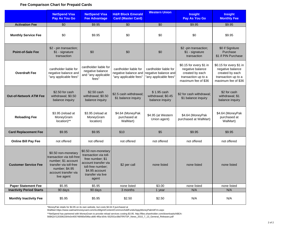#### **Fee Comparison Chart for Prepaid Cards**

|                                 | <b>NetSpend Visa</b><br>Pay As You Go                                                                                                                     | <b>NetSpend Visa</b><br><b>Fee Advantage</b>                                                                                                                  | <b>H&amp;R Block Emerald</b><br><b>Card (Master Card)</b>              | <b>Western Union</b>                                                   | <b>Insight</b><br>Pay As You Go                                                                              | <b>Insight</b><br><b>Monthly Fee</b>                                                                         |
|---------------------------------|-----------------------------------------------------------------------------------------------------------------------------------------------------------|---------------------------------------------------------------------------------------------------------------------------------------------------------------|------------------------------------------------------------------------|------------------------------------------------------------------------|--------------------------------------------------------------------------------------------------------------|--------------------------------------------------------------------------------------------------------------|
| <b>Activation Fee</b>           | \$0                                                                                                                                                       | \$9.95                                                                                                                                                        | \$0                                                                    | \$0                                                                    | \$9.95                                                                                                       | \$9.95                                                                                                       |
| <b>Monthly Service Fee</b>      | \$0                                                                                                                                                       | \$9.95                                                                                                                                                        | \$0                                                                    | \$0                                                                    | \$0                                                                                                          | \$9.95                                                                                                       |
| <b>Point-of-Sale Fee</b>        | \$2 - pin transaction;<br>\$1 - signature<br>transaction                                                                                                  | \$0                                                                                                                                                           | \$0                                                                    | \$0                                                                    | \$2 -pin transaction;<br>\$1 - signature<br>transaction                                                      | \$0 if Signiture<br>Purchase<br>\$1 if PIN Purchase                                                          |
| <b>Overdraft Fee</b>            | cardholder liable for<br>negative balance and<br>"any applicable fees"                                                                                    | cardholder liable for<br>negative balance<br>and "any applicable<br>fees"                                                                                     | cardholder liable for<br>negative balance and<br>"any applicable fees" | cardholder liable for<br>negative balance and<br>"any applicable fees" | \$0.15 for every \$1 in<br>negative balance<br>created by each<br>transaction up to a<br>maximum fee of \$36 | \$0.15 for every \$1 in<br>negative balance<br>created by each<br>transaction up to a<br>maximum fee of \$36 |
| <b>Out-of-Network ATM Fee</b>   | \$2.50 for cash<br>withdrawal; \$0.50<br>balance inquiry                                                                                                  | \$2.50 cash<br>withdrawal; \$0.50<br>balance inquiry                                                                                                          | \$2.5 cash withdrawal;<br>\$1 balance inquiry                          | \$1.95 cash<br>withdrawal; \$0.45<br>balance inquiry                   | \$2 for cash withdrawal;<br>\$1 balance inquiry                                                              | \$2 for cash<br>withdrawal; \$1<br>balance inquiry                                                           |
| <b>Reloading Fee</b>            | \$3.95 (reload at<br>MoneyGram<br>location)**                                                                                                             | \$3.95 (reload at<br>MoneyGram<br>location)                                                                                                                   | \$4.64 (MoneyPak<br>purchased at<br>WalMart)                           | \$4.95 (at Western<br>Union agent)                                     | \$4.64 (MoneyPak<br>purchased at WalMart)                                                                    | \$4.64 (MoneyPak<br>purchased at<br>WalMart)                                                                 |
| <b>Card Replacement Fee</b>     | \$9.95                                                                                                                                                    | \$9.95                                                                                                                                                        | \$10                                                                   | \$5                                                                    | \$9.95                                                                                                       | \$9.95                                                                                                       |
| <b>Online Bill Pay Fee</b>      | not offered                                                                                                                                               | not offered                                                                                                                                                   | not offered                                                            | not offered                                                            | not offered                                                                                                  | not offered                                                                                                  |
| <b>Customer Service Fee</b>     | \$0.50 non-monetary<br>transaction via toll-free<br>number; \$1 account<br>transfer via toll-free<br>number; \$4.95<br>account transfer via<br>live agent | \$0.50 non-monetary<br>transaction via toll-<br>free number; \$1<br>account transfer via<br>toll-free number;<br>\$4.95 account<br>transfer via live<br>agent | \$2 per call                                                           | none listed                                                            | none listed                                                                                                  | none listed                                                                                                  |
| <b>Paper Statement Fee</b>      | \$5.95                                                                                                                                                    | \$5.95                                                                                                                                                        | none listed                                                            | \$3.00                                                                 | none listed                                                                                                  | none listed                                                                                                  |
| <b>Inactivity Period Starts</b> | 90 days                                                                                                                                                   | 90 days                                                                                                                                                       | 3 months                                                               | 1 year                                                                 | N/A                                                                                                          | N/A                                                                                                          |
| <b>Monthly Inactivity Fee</b>   | \$5.95                                                                                                                                                    | \$5.95                                                                                                                                                        | \$2.50                                                                 | \$2.50                                                                 | N/A                                                                                                          | N/A                                                                                                          |

\*MoneyPak retails for \$4.95 on its own website, but costs \$4.64 if purchased at

WalMart.https://www.walmartmoneycard.com/AcctMgmt/Content/Common/AddFunds/AppyMoneyPakInitFrm.aspx

\*\*NetSpend has partnered with MoneyGram to provide reload services costing \$3.95. http://files.shareholder.com/downloads/ABEA-56BIQV/1203062304x0x405748/fd5e596a-afd6-4f0a-b54c-552551e38d7f/NTSP\_News\_2010\_7\_13\_General\_Releases.pdf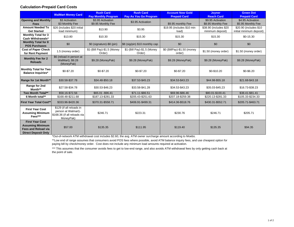#### **Calculation-Prepaid Card Costs**

|                                                                                                               | <b>WalMart Money Card</b>                                                                    | <b>Rush Card</b><br><b>Pay Monthly Program</b> | <b>Rush Card</b><br><b>Pay As You Go Program</b> | <b>Account Now Gold</b><br><b>Prepaid Card</b> | <b>Joyner</b><br><b>Reach Card</b>          | <b>Green Dot</b><br><b>Prepaid Card</b>             |
|---------------------------------------------------------------------------------------------------------------|----------------------------------------------------------------------------------------------|------------------------------------------------|--------------------------------------------------|------------------------------------------------|---------------------------------------------|-----------------------------------------------------|
| <b>Opening and Monthly</b><br><b>Fees</b>                                                                     | \$3 Activation<br>\$3 Monthly Fee                                                            | \$3.95 Activation<br>\$9.95 Monthly Fee        | \$3.95 Activation                                | \$9.95 monthly Fee                             | \$9.95 Activation<br>\$8.95 Monthly Fee     | \$4.95 Activation<br>\$5.95 Monthly Fee             |
| <b>Amount Needed To</b><br><b>Get Started</b>                                                                 | \$26 (includes \$20 initial<br>load minimum)                                                 | \$13.90                                        | \$3.95                                           | \$19.95 (includes \$10 min<br>load)            | \$38.90 (includes \$20)<br>minimum deposit) | \$20.90 (includes \$10)<br>initial minimum deposit) |
| <b>Monthly Total for 3</b><br>Cash Withdrawals*                                                               | \$13.80                                                                                      | \$10.30                                        | \$15.30                                          | \$15.30                                        | \$15.30                                     | $$0-15.30$                                          |
| <b>Monthly Total for 8</b><br><b>POS Purchases</b>                                                            | \$0                                                                                          | \$0 (signature)-\$8 (pin)                      | \$8 (sig/pin) \$10 monthly cap                   | \$0                                            | \$0                                         | \$0                                                 |
| <b>Cost of Paper Check</b><br>for Rent Payment                                                                | 1.5 (money order)                                                                            | \$1-(Bill Pay)-\$1.5 (Money<br>Order)          | \$1-(Bill Pay)-\$1.5 (Money<br>Order)            | \$0 (BillPay)-\$1.50 (money<br>order)          | \$1.50 (money order)                        | \$1.50 (money order)                                |
| <b>Monthly Fee for 2</b><br><b>Reloads</b>                                                                    | \$6 (reload in person at<br>WalMart); \$9.28<br>(MoneyPak)                                   | \$9.28 (MoneyPak)                              | \$9.28 (MoneyPak)                                | \$9.28 (MoneyPak)                              | \$9.28 (MoneyPak)                           | \$9.28 (MoneyPak)                                   |
| <b>Monthly Total for Two</b><br><b>Balance Inquiries*</b>                                                     | \$0-\$7.20                                                                                   | \$0-\$7.20                                     | \$0-\$7.20                                       | \$0-\$7.20                                     | \$0-\$10.20                                 | $$0 - $6.20$                                        |
| Range for 1st Month**                                                                                         | \$30.58-\$37.78                                                                              | \$34.48-\$50.18                                | \$37.53-\$45.23                                  | \$34.53-\$43.23                                | \$44.98-\$55.18                             | \$21.68-\$43.18                                     |
| Range for 2nd<br>Month**                                                                                      | \$27.58-\$34.78                                                                              | \$30.53-\$46.23                                | \$33.58-\$41.28                                  | \$34.53-\$43.23                                | \$35.03-\$45.23                             | \$16.73-\$38.23                                     |
| Two Month Total**                                                                                             | \$58.16-\$72.56                                                                              | \$65.01 - \$96.41                              | \$71.11-\$86.51                                  | \$69.96-\$86.46                                | \$80.01-\$100.41                            | \$38.41-\$81.41                                     |
| 6 Month total**                                                                                               | \$168.48-\$211.68                                                                            | \$187.13-\$281.33                              | \$205.43-\$251.63                                | \$207.18-\$259.38                              | \$220.13-\$281.33                           | \$105.33-\$234.33                                   |
| <b>First Year Total Cost**</b>                                                                                | \$333.96-\$420.36                                                                            | \$370.31-\$558.71                              | \$406.91-\$499.31                                | \$414.36-\$518.76                              | \$430.31-\$552.71                           | \$205.71-\$463.71                                   |
| <b>First Year Cost</b><br><b>Assuming Minimum</b><br>Fees***                                                  | \$129 (if all reloads in<br>person at Walmart)-<br>\$168.36 (if all reloads via<br>MoneyPak) | \$246.71                                       | \$223.31                                         | \$230.76                                       | \$246.71                                    | \$205.71                                            |
| <b>First Year Cost</b><br><b>Assuming Minimum</b><br><b>Fees and Reload via</b><br><b>Direct Deposit Only</b> | \$57.00                                                                                      | \$135.35                                       | \$111.95                                         | \$119.40                                       | \$135.35                                    | \$94.35                                             |

\*Out-of-network ATM withdrawal cost includes \$2.60, the avg. ATM owner surcharge amount according to Moebs.

\*\*Low end of range assumes that consumers avoid POS fees where possible, avoid ATM balance inquiry fees, and use cheapest option for paying bill by check/money order. Cost does not include any minimum load amounts required at activation.

\*\*\* This assumes that the consumer avoids fees to get to low-end range, and also avoids ATM withdrawal fees by only getting cash back at the point of sale.